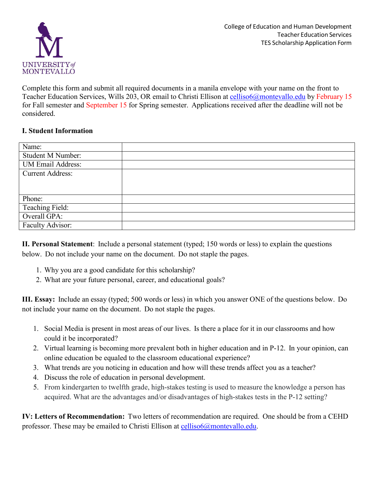

Complete this form and submit all required documents in a manila envelope with your name on the front to Teacher Education Services, Wills 203, OR email to Christi Ellison at [celliso6@montevallo.edu](mailto:celliso6@montevallo.edu) by February 15 for Fall semester and September 15 for Spring semester. Applications received after the deadline will not be considered.

## **I. Student Information**

| Name:                    |  |
|--------------------------|--|
| <b>Student M Number:</b> |  |
| <b>UM Email Address:</b> |  |
| <b>Current Address:</b>  |  |
|                          |  |
|                          |  |
| Phone:                   |  |
| Teaching Field:          |  |
| Overall GPA:             |  |
| Faculty Advisor:         |  |

**II. Personal Statement**: Include a personal statement (typed; 150 words or less) to explain the questions below. Do not include your name on the document. Do not staple the pages.

- 1. Why you are a good candidate for this scholarship?
- 2. What are your future personal, career, and educational goals?

**III. Essay:** Include an essay (typed; 500 words or less) in which you answer ONE of the questions below. Do not include your name on the document. Do not staple the pages.

- 1. Social Media is present in most areas of our lives. Is there a place for it in our classrooms and how could it be incorporated?
- 2. Virtual learning is becoming more prevalent both in higher education and in P-12. In your opinion, can online education be equaled to the classroom educational experience?
- 3. What trends are you noticing in education and how will these trends affect you as a teacher?
- 4. Discuss the role of education in personal development.
- 5. From kindergarten to twelfth grade, high-stakes testing is used to measure the knowledge a person has acquired. What are the advantages and/or disadvantages of high-stakes tests in the P-12 setting?

**IV: Letters of Recommendation:** Two letters of recommendation are required. One should be from a CEHD professor. These may be emailed to Christi Ellison at [celliso6@montevallo.edu.](mailto:celliso6@montevallo.edu)